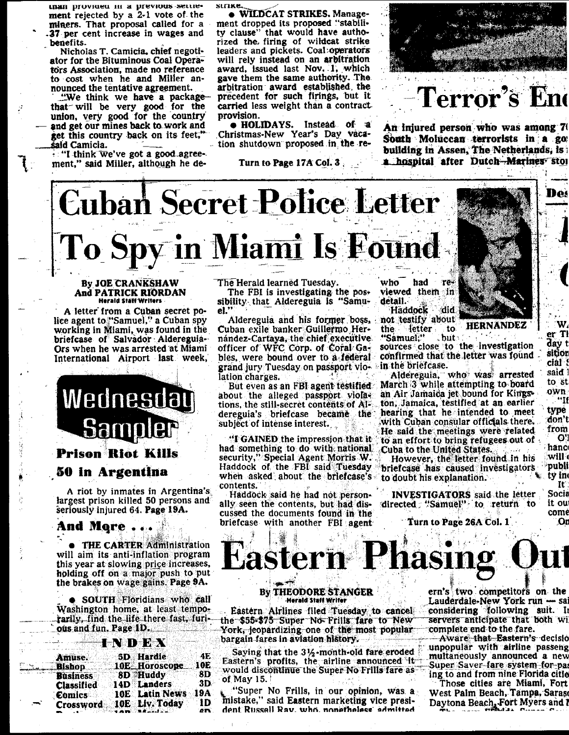than provinen in a previous settlement rejected by a 2-1 vote of the miners. That proposal called for a 37 per cent increase in wages and benefits.

Nicholas T. Camicia, chief negotiator for the Bituminous Coal Operators Association, made no reference to cost when he and Miller announced the tentative agreement.

"We think we have a packagethat will be very good for the union, very good for the country and get our mines back to work and get this country back on its feet," śaid Camicia.

"I think we've got a good agreement," said Miller, although he de**SLITKE** 

. WILDCAT STRIKES. Management dropped its proposed "stability clause" that would have authorized the firing of wildcat strike leaders and pickets. Coal operators will rely instead on an arbitration award, issued last Nov. 1, which gave them the same authority. The arbitration award established the precedent for such firings, but it carried less weight than a contract provision.

 $\bullet$  HOLIDAYS. Instead of a Christmas-New Year's Day vacation shutdown proposed in the re-

#### Turn to Page 17A Col. 3.



### Terror's Enc

An injured person who was among 7 South Moluccan terrorists in a go building in Assen, The Netherlands, is a hospital after Dutch-Marines stol

# **Cuban Secret Police Letter** To Spy in Miami Is Found

#### **By JOE CRANKSHAW** And PATRICK RIORDAN **Herald Staff Writers**

A letter from a Cuban secret police agent to "Samuel," a Cuban spy working in Miami, was found in the briefcase of Salvador Aldereguia-Ors when he was arrested at Miami International Airport last week,



A riot by inmates in Argentina's largest prison killed 50 persons and seriously injured 64. Page 19A.

#### And More.

THE CARTER Administration will aim its anti-inflation program this year at slowing price increases, holding off on a major push to put the brakes on wage gains. Page 9A.

 $\bullet$  SOUTH Floridians who call Washington home, at least temporarily, find the life there fast, furious and fun. Page 1D.

|                 |                   | FIRE SAN 12 79. 4 |                  |                       |     |
|-----------------|-------------------|-------------------|------------------|-----------------------|-----|
|                 |                   |                   |                  |                       |     |
| Amuse.          |                   |                   | <b>5D</b> Hardie |                       | 4E  |
|                 |                   |                   |                  |                       |     |
| <b>Bishop</b>   |                   |                   |                  | 10E Horoscope         | 10E |
| <b>Business</b> |                   |                   | 8D Huddy         |                       | 8D  |
|                 |                   |                   |                  |                       | 3D  |
|                 | <b>Classified</b> |                   |                  | <b>14D Landers</b>    |     |
| Comics          |                   |                   |                  | <b>10E</b> Latin News | 19A |
|                 |                   |                   |                  |                       | 1D  |
|                 | Crossword         |                   |                  | 10E Liv. Today        |     |
|                 |                   |                   |                  |                       | øП  |

The Herald learned Tuesday.

The FBI is investigating the possibility that Aldereguia is "Samu $e$ l.'

Aldereguia and his former boss, Cuban exile banker Guillermo Hernández-Cartaya, the chief executive officer of WFC Corp. of Coral Gables, were bound over to a federal grand jury Tuesday on passport violation charges.

But even as an FBI agent testified. about the alleged passport violations, the still-secret contents of Aldereguia's briefcase became the subject of intense interest.

"I GAINED the impression that it had something to do with national security," Special Agent Morris W. Haddock of the FBI said Tuesday when asked about the briefcase's contents.

Haddock said he had not personally seen the contents, but had discussed the documents found in the briefcase with another FBI agent who had  $T<sub>e</sub>$ viewed them in detail. did.

Haddock not testify about letter. . to: the. "Samuel:'

H nasu



W.

 $er$  Tl

day t

sition

cial:

said l

to st

own

type

don't

from

hanc

 $w$ ili (

publi

ty in

Socia

it ou

comé

,Or

 $\bf{R}$ 

O'I

. "If

, but:

sources close to the investigation confirmed that the letter was found in the briefcase.

Aldereguia, who was arrested March 3 while attempting to board an Air Jamaica jet bound for Kingston, Jamaica, testified at an earlier hearing that he intended to meet with Cuban consular officials there. He said the meetings were related to an effort to bring refugees out of Cuba to the United States.

However, the letter found in his briefcase has caused investigators to doubt his explanation.

**INVESTIGATORS** said the letter directed "Samuel" to return to

Turn to Page 26A Col. 1

#### **By THEODORE STANGER Herald Staff Writer**

Eastern Airlines filed Tuesday to cancel the \$55-\$75 Super No Frills fare to New York, leopardizing one of the most popular bargain fares in aviation history.

Saying that the  $3\frac{1}{2}$ -month-old fare eroded Eastern's profits, the airline announced it would discontinue the Super No Frills fare as of May  $15.$ 

"Super No Frills, in our opinion, was a mistake," said Eastern marketing vice president Russell Rav. who nonetheless admitted

ern's two competitors on the Lauderdale-New York run — sai considering following suit. In servers anticipate that both wi complete end to the fare.

Aware that Eastern's decisio unpopular with airline passeng multaneously announced a new Super Saver fare system for pas ing to and from nine Florida citie

Those cities are Miami, Fort West Palm Beach, Tampa, Saras Daytona Beach, Fort Myers and I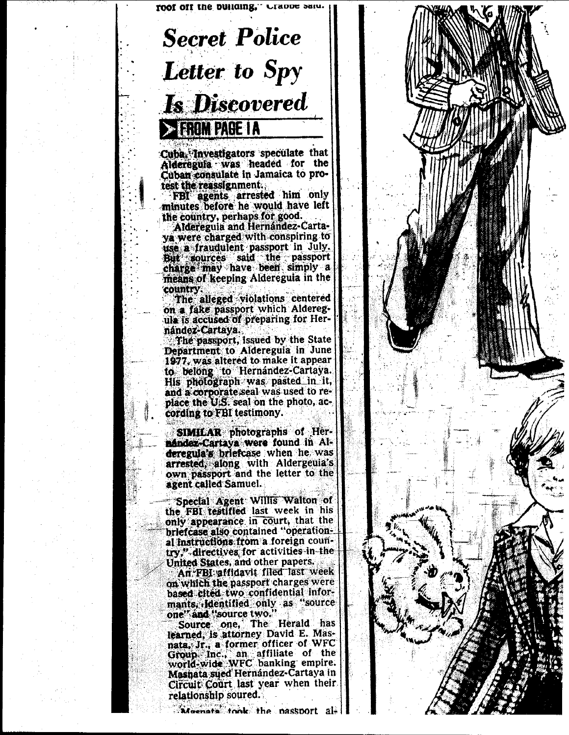

# **Secret Police** Letter to Spy **Is Discovered** > EROM PAGE IA

Cuba, Investigators speculate that Alderegula was headed for the Cuban consulate in Jamaica to protest the reassignment.

FBI agents arrested him only<br>minutes before he would have left the country, perhaps for good.

Aldereguia and Hernández-Cartaya were charged with conspiring to use a fraudulent passport in July. But sources said the passport charge may have been simply a means of keeping Aldereguia in the country.

The alleged violations centered on a fake passport which Alderegula is accused of preparing for Hernández-Cartaya.

The passport, issued by the State Department to Aldereguia in June 1977, was altered to make it appear to belong to Hernández-Cartaya.<br>His photograph was pasted in it, and a corporate seal was used to replace the U.S. seal on the photo, according to FBI testimony.

SIMILAR photographs of Hernández-Cartaya were found in Alderegula's briefcase when he was arrested, along with Aldergeula's own passport and the letter to the agent called Samuel.

Special Agent Willis Walton of the FBI testified last week in his only appearance in court, that the briefcase also contained "operational instructions from a foreign country," directives for activities in the United States, and other papers.

An FBI affidavit filed last week on which the passport charges were based cited two confidential informants, identified only as "source one" and "source two."

Source one, The Herald has learned, is attorney David E. Masnata, Jr., a former officer of WFC Group Inc., an affiliate of the world-wide WFC banking empire. Masnata sued Hernandez-Cartaya in Circuit Court last year when their relationship soured.

Moenate took the passport al-